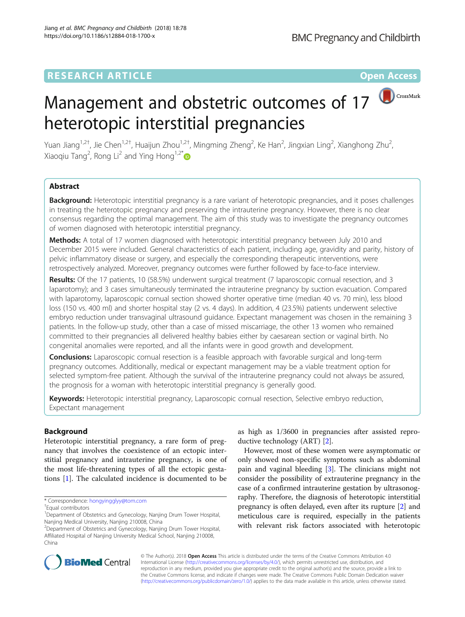## **RESEARCH ARTICLE Example 2014 12:30 The Contract of Contract ACCESS**

# CrossMark Management and obstetric outcomes of 17 heterotopic interstitial pregnancies

Yuan Jiang<sup>1,2†</sup>, Jie Chen<sup>1,2†</sup>, Huaijun Zhou<sup>1,2†</sup>, Mingming Zheng<sup>2</sup>, Ke Han<sup>2</sup>, Jingxian Ling<sup>2</sup>, Xianghong Zhu<sup>2</sup> .<br>, Xiaoqiu Tang<sup>2</sup>, Rong Li<sup>2</sup> and Ying Hong<sup>1,2[\\*](http://orcid.org/0000-0003-0259-7878)</sup>

### Abstract

Background: Heterotopic interstitial pregnancy is a rare variant of heterotopic pregnancies, and it poses challenges in treating the heterotopic pregnancy and preserving the intrauterine pregnancy. However, there is no clear consensus regarding the optimal management. The aim of this study was to investigate the pregnancy outcomes of women diagnosed with heterotopic interstitial pregnancy.

Methods: A total of 17 women diagnosed with heterotopic interstitial pregnancy between July 2010 and December 2015 were included. General characteristics of each patient, including age, gravidity and parity, history of pelvic inflammatory disease or surgery, and especially the corresponding therapeutic interventions, were retrospectively analyzed. Moreover, pregnancy outcomes were further followed by face-to-face interview.

Results: Of the 17 patients, 10 (58.5%) underwent surgical treatment (7 laparoscopic cornual resection, and 3 laparotomy); and 3 cases simultaneously terminated the intrauterine pregnancy by suction evacuation. Compared with laparotomy, laparoscopic cornual section showed shorter operative time (median 40 vs. 70 min), less blood loss (150 vs. 400 ml) and shorter hospital stay (2 vs. 4 days). In addition, 4 (23.5%) patients underwent selective embryo reduction under transvaginal ultrasound guidance. Expectant management was chosen in the remaining 3 patients. In the follow-up study, other than a case of missed miscarriage, the other 13 women who remained committed to their pregnancies all delivered healthy babies either by caesarean section or vaginal birth. No congenital anomalies were reported, and all the infants were in good growth and development.

**Conclusions:** Laparoscopic cornual resection is a feasible approach with favorable surgical and long-term pregnancy outcomes. Additionally, medical or expectant management may be a viable treatment option for selected symptom-free patient. Although the survival of the intrauterine pregnancy could not always be assured, the prognosis for a woman with heterotopic interstitial pregnancy is generally good.

Keywords: Heterotopic interstitial pregnancy, Laparoscopic cornual resection, Selective embryo reduction, Expectant management

### Background

Heterotopic interstitial pregnancy, a rare form of pregnancy that involves the coexistence of an ectopic interstitial pregnancy and intrauterine pregnancy, is one of the most life-threatening types of all the ectopic gestations [[1](#page-4-0)]. The calculated incidence is documented to be

as high as 1/3600 in pregnancies after assisted reproductive technology (ART) [[2\]](#page-4-0).

However, most of these women were asymptomatic or only showed non-specific symptoms such as abdominal pain and vaginal bleeding [[3\]](#page-4-0). The clinicians might not consider the possibility of extrauterine pregnancy in the case of a confirmed intrauterine gestation by ultrasonography. Therefore, the diagnosis of heterotopic interstitial pregnancy is often delayed, even after its rupture [\[2](#page-4-0)] and meticulous care is required, especially in the patients with relevant risk factors associated with heterotopic



© The Author(s). 2018 Open Access This article is distributed under the terms of the Creative Commons Attribution 4.0 International License [\(http://creativecommons.org/licenses/by/4.0/](http://creativecommons.org/licenses/by/4.0/)), which permits unrestricted use, distribution, and reproduction in any medium, provided you give appropriate credit to the original author(s) and the source, provide a link to the Creative Commons license, and indicate if changes were made. The Creative Commons Public Domain Dedication waiver [\(http://creativecommons.org/publicdomain/zero/1.0/](http://creativecommons.org/publicdomain/zero/1.0/)) applies to the data made available in this article, unless otherwise stated.

<sup>\*</sup> Correspondence: [hongyingglyy@tom.com](mailto:hongyingglyy@tom.com) †

Equal contributors

<sup>&</sup>lt;sup>1</sup>Department of Obstetrics and Gynecology, Nanjing Drum Tower Hospital, Nanjing Medical University, Nanjing 210008, China

<sup>2</sup> Department of Obstetrics and Gynecology, Nanjing Drum Tower Hospital, Affiliated Hospital of Nanjing University Medical School, Nanjing 210008, China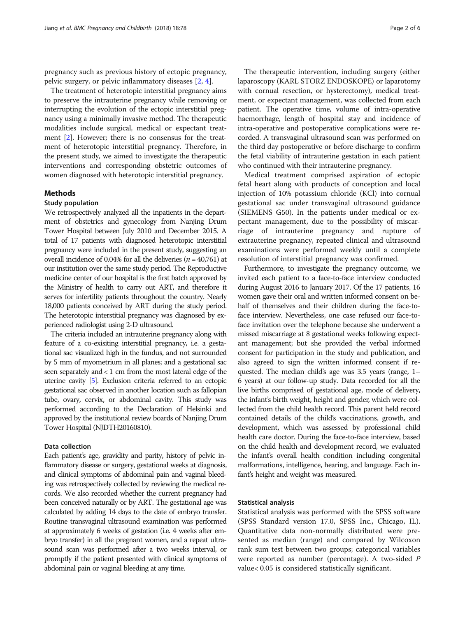pregnancy such as previous history of ectopic pregnancy, pelvic surgery, or pelvic inflammatory diseases [[2,](#page-4-0) [4\]](#page-4-0).

The treatment of heterotopic interstitial pregnancy aims to preserve the intrauterine pregnancy while removing or interrupting the evolution of the ectopic interstitial pregnancy using a minimally invasive method. The therapeutic modalities include surgical, medical or expectant treatment [[2\]](#page-4-0). However; there is no consensus for the treatment of heterotopic interstitial pregnancy. Therefore, in the present study, we aimed to investigate the therapeutic interventions and corresponding obstetric outcomes of women diagnosed with heterotopic interstitial pregnancy.

### Methods

#### Study population

We retrospectively analyzed all the inpatients in the department of obstetrics and gynecology from Nanjing Drum Tower Hospital between July 2010 and December 2015. A total of 17 patients with diagnosed heterotopic interstitial pregnancy were included in the present study, suggesting an overall incidence of 0.04% for all the deliveries ( $n = 40,761$ ) at our institution over the same study period. The Reproductive medicine center of our hospital is the first batch approved by the Ministry of health to carry out ART, and therefore it serves for infertility patients throughout the country. Nearly 18,000 patients conceived by ART during the study period. The heterotopic interstitial pregnancy was diagnosed by experienced radiologist using 2-D ultrasound.

The criteria included an intrauterine pregnancy along with feature of a co-exisiting interstitial pregnancy, i.e. a gestational sac visualized high in the fundus, and not surrounded by 5 mm of myometrium in all planes; and a gestational sac seen separately and < 1 cm from the most lateral edge of the uterine cavity [\[5\]](#page-4-0). Exclusion criteria referred to an ectopic gestational sac observed in another location such as fallopian tube, ovary, cervix, or abdominal cavity. This study was performed according to the Declaration of Helsinki and approved by the institutional review boards of Nanjing Drum Tower Hospital (NJDTH20160810).

### Data collection

Each patient's age, gravidity and parity, history of pelvic inflammatory disease or surgery, gestational weeks at diagnosis, and clinical symptoms of abdominal pain and vaginal bleeding was retrospectively collected by reviewing the medical records. We also recorded whether the current pregnancy had been conceived naturally or by ART. The gestational age was calculated by adding 14 days to the date of embryo transfer. Routine transvaginal ultrasound examination was performed at approximately 6 weeks of gestation (i.e. 4 weeks after embryo transfer) in all the pregnant women, and a repeat ultrasound scan was performed after a two weeks interval, or promptly if the patient presented with clinical symptoms of abdominal pain or vaginal bleeding at any time.

The therapeutic intervention, including surgery (either laparoscopy (KARL STORZ ENDOSKOPE) or laparotomy with cornual resection, or hysterectomy), medical treatment, or expectant management, was collected from each patient. The operative time, volume of intra-operative haemorrhage, length of hospital stay and incidence of intra-operative and postoperative complications were recorded. A transvaginal ultrasound scan was performed on the third day postoperative or before discharge to confirm the fetal viability of intrauterine gestation in each patient who continued with their intrauterine pregnancy.

Medical treatment comprised aspiration of ectopic fetal heart along with products of conception and local injection of 10% potassium chloride (KCl) into cornual gestational sac under transvaginal ultrasound guidance (SIEMENS G50). In the patients under medical or expectant management, due to the possibility of miscarriage of intrauterine pregnancy and rupture of extrauterine pregnancy, repeated clinical and ultrasound examinations were performed weekly until a complete resolution of interstitial pregnancy was confirmed.

Furthermore, to investigate the pregnancy outcome, we invited each patient to a face-to-face interview conducted during August 2016 to January 2017. Of the 17 patients, 16 women gave their oral and written informed consent on behalf of themselves and their children during the face-toface interview. Nevertheless, one case refused our face-toface invitation over the telephone because she underwent a missed miscarriage at 8 gestational weeks following expectant management; but she provided the verbal informed consent for participation in the study and publication, and also agreed to sign the written informed consent if requested. The median child's age was 3.5 years (range, 1– 6 years) at our follow-up study. Data recorded for all the live births comprised of gestational age, mode of delivery, the infant's birth weight, height and gender, which were collected from the child health record. This parent held record contained details of the child's vaccinations, growth, and development, which was assessed by professional child health care doctor. During the face-to-face interview, based on the child health and development record, we evaluated the infant's overall health condition including congenital malformations, intelligence, hearing, and language. Each infant's height and weight was measured.

### Statistical analysis

Statistical analysis was performed with the SPSS software (SPSS Standard version 17.0, SPSS Inc., Chicago, IL). Quantitative data non-normally distributed were presented as median (range) and compared by Wilcoxon rank sum test between two groups; categorical variables were reported as number (percentage). A two-sided P value< 0.05 is considered statistically significant.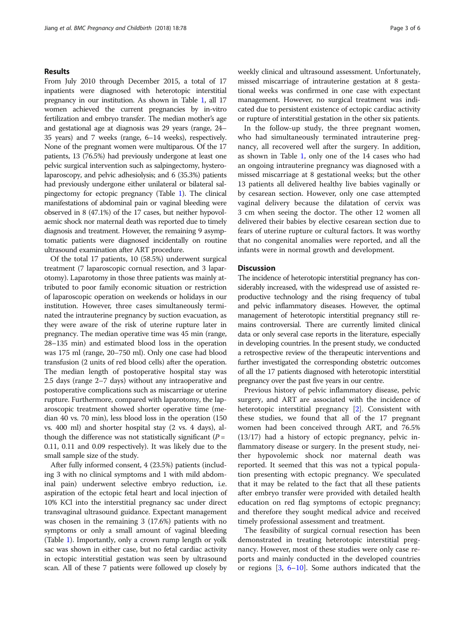### Results

From July 2010 through December 2015, a total of 17 inpatients were diagnosed with heterotopic interstitial pregnancy in our institution. As shown in Table [1,](#page-3-0) all 17 women achieved the current pregnancies by in-vitro fertilization and embryo transfer. The median mother's age and gestational age at diagnosis was 29 years (range, 24– 35 years) and 7 weeks (range, 6–14 weeks), respectively. None of the pregnant women were multiparous. Of the 17 patients, 13 (76.5%) had previously undergone at least one pelvic surgical intervention such as salpingectomy, hysterolaparoscopy, and pelvic adhesiolysis; and 6 (35.3%) patients had previously undergone either unilateral or bilateral salpingectomy for ectopic pregnancy (Table [1](#page-3-0)). The clinical manifestations of abdominal pain or vaginal bleeding were observed in 8 (47.1%) of the 17 cases, but neither hypovolaemic shock nor maternal death was reported due to timely diagnosis and treatment. However, the remaining 9 asymptomatic patients were diagnosed incidentally on routine ultrasound examination after ART procedure.

Of the total 17 patients, 10 (58.5%) underwent surgical treatment (7 laparoscopic cornual resection, and 3 laparotomy). Laparotomy in those three patients was mainly attributed to poor family economic situation or restriction of laparoscopic operation on weekends or holidays in our institution. However, three cases simultaneously terminated the intrauterine pregnancy by suction evacuation, as they were aware of the risk of uterine rupture later in pregnancy. The median operative time was 45 min (range, 28–135 min) and estimated blood loss in the operation was 175 ml (range, 20–750 ml). Only one case had blood transfusion (2 units of red blood cells) after the operation. The median length of postoperative hospital stay was 2.5 days (range 2–7 days) without any intraoperative and postoperative complications such as miscarriage or uterine rupture. Furthermore, compared with laparotomy, the laparoscopic treatment showed shorter operative time (median 40 vs. 70 min), less blood loss in the operation (150 vs. 400 ml) and shorter hospital stay (2 vs. 4 days), although the difference was not statistically significant  $(P =$ 0.11, 0.11 and 0.09 respectively). It was likely due to the small sample size of the study.

After fully informed consent, 4 (23.5%) patients (including 3 with no clinical symptoms and 1 with mild abdominal pain) underwent selective embryo reduction, i.e. aspiration of the ectopic fetal heart and local injection of 10% KCl into the interstitial pregnancy sac under direct transvaginal ultrasound guidance. Expectant management was chosen in the remaining 3 (17.6%) patients with no symptoms or only a small amount of vaginal bleeding (Table [1\)](#page-3-0). Importantly, only a crown rump length or yolk sac was shown in either case, but no fetal cardiac activity in ectopic interstitial gestation was seen by ultrasound scan. All of these 7 patients were followed up closely by weekly clinical and ultrasound assessment. Unfortunately, missed miscarriage of intrauterine gestation at 8 gestational weeks was confirmed in one case with expectant management. However, no surgical treatment was indicated due to persistent existence of ectopic cardiac activity or rupture of interstitial gestation in the other six patients.

In the follow-up study, the three pregnant women, who had simultaneously terminated intrauterine pregnancy, all recovered well after the surgery. In addition, as shown in Table [1,](#page-3-0) only one of the 14 cases who had an ongoing intrauterine pregnancy was diagnosed with a missed miscarriage at 8 gestational weeks; but the other 13 patients all delivered healthy live babies vaginally or by cesarean section. However, only one case attempted vaginal delivery because the dilatation of cervix was 3 cm when seeing the doctor. The other 12 women all delivered their babies by elective cesarean section due to fears of uterine rupture or cultural factors. It was worthy that no congenital anomalies were reported, and all the infants were in normal growth and development.

### **Discussion**

The incidence of heterotopic interstitial pregnancy has considerably increased, with the widespread use of assisted reproductive technology and the rising frequency of tubal and pelvic inflammatory diseases. However, the optimal management of heterotopic interstitial pregnancy still remains controversial. There are currently limited clinical data or only several case reports in the literature, especially in developing countries. In the present study, we conducted a retrospective review of the therapeutic interventions and further investigated the corresponding obstetric outcomes of all the 17 patients diagnosed with heterotopic interstitial pregnancy over the past five years in our centre.

Previous history of pelvic inflammatory disease, pelvic surgery, and ART are associated with the incidence of heterotopic interstitial pregnancy [\[2](#page-4-0)]. Consistent with these studies, we found that all of the 17 pregnant women had been conceived through ART, and 76.5% (13/17) had a history of ectopic pregnancy, pelvic inflammatory disease or surgery. In the present study, neither hypovolemic shock nor maternal death was reported. It seemed that this was not a typical population presenting with ectopic pregnancy. We speculated that it may be related to the fact that all these patients after embryo transfer were provided with detailed health education on red flag symptoms of ectopic pregnancy; and therefore they sought medical advice and received timely professional assessment and treatment.

The feasibility of surgical cornual resection has been demonstrated in treating heterotopic interstitial pregnancy. However, most of these studies were only case reports and mainly conducted in the developed countries or regions [\[3](#page-4-0), [6](#page-4-0)–[10\]](#page-5-0). Some authors indicated that the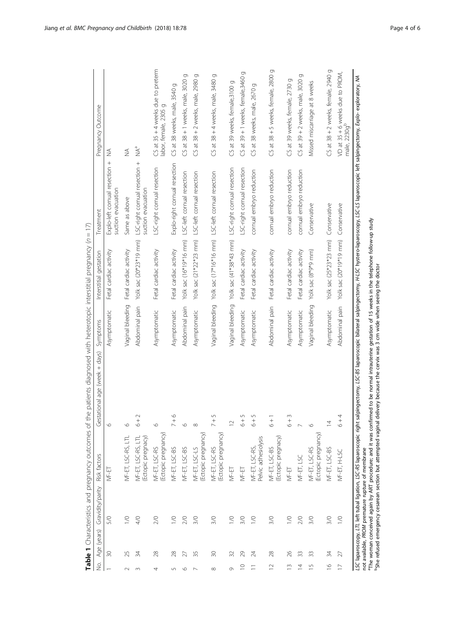<span id="page-3-0"></span>

|                       |             |                                                   |                                             | Table 1 Characteristics and pregnancy outcomes of the patients diagnosed with heterotopic interstitial pregnancy (n = 17)                                                                                                                                                                                                                                                                                                                                                                                                                |                  |                        |                                                      |                                                            |
|-----------------------|-------------|---------------------------------------------------|---------------------------------------------|------------------------------------------------------------------------------------------------------------------------------------------------------------------------------------------------------------------------------------------------------------------------------------------------------------------------------------------------------------------------------------------------------------------------------------------------------------------------------------------------------------------------------------------|------------------|------------------------|------------------------------------------------------|------------------------------------------------------------|
| ġ                     | Age (years) | Gravidity/parity                                  | Risk factors                                | Gestational age (week + days)                                                                                                                                                                                                                                                                                                                                                                                                                                                                                                            | Symptoms         | Interstitial gestation | Treatment                                            | Pregnancy Outcome                                          |
|                       | SO          | 5/0                                               | NF-ET                                       | $\circ$                                                                                                                                                                                                                                                                                                                                                                                                                                                                                                                                  | Asymptomatic     | Fetal cardiac activity | Explo-left cornual resection +<br>suction evacuation | $\frac{1}{2}$                                              |
|                       | 25          | $\geq$                                            | IVF-ET, LSC-RS, LTL                         | $\circ$                                                                                                                                                                                                                                                                                                                                                                                                                                                                                                                                  | Vaginal bleeding | Fetal cardiac activity | Same as above                                        | $\frac{1}{2}$                                              |
|                       | 34          | 4/0                                               | (Ectopic pregnacy)<br>IVF-ET, LSC-RS, LTL   | $\sim$<br>$_{\circ}^+$                                                                                                                                                                                                                                                                                                                                                                                                                                                                                                                   | Abdominal pain   | Yolk sac (20*23*19 mm) | LSC-right cornual resection +<br>suction evacuation  | NA <sup>a</sup>                                            |
| 4                     | 28          | 2/0                                               | (Ectopic pregnancy)<br>IVF-ET, LSC-RS       | $\circ$                                                                                                                                                                                                                                                                                                                                                                                                                                                                                                                                  | Asymptomatic     | Fetal cardiac activity | LSC-right cornual resection                          | CS at 35 + 4 weeks due to preterm<br>labor, female, 2305 g |
| 5                     | 28          | 1/0                                               | IVF-ET, LSC-BS                              | $\circ$<br>$^+$                                                                                                                                                                                                                                                                                                                                                                                                                                                                                                                          | Asymptomatic     | Fetal cardiac activity | Explo-right cornual resection                        | CS at 38 weeks, male, 3540 g                               |
| ৩                     | 27          | 2/0                                               | IVF-ET, LSC-BS                              | $\circ$                                                                                                                                                                                                                                                                                                                                                                                                                                                                                                                                  | Abdominal pain   | Yolk sac (16*19*16 mm) | LSC-left cornual resection                           | G<br>CS at 38 + 1 weeks, male, 3020                        |
|                       | 35          | 3/0                                               | (Ectopic pregnancy)<br><b>NF-ET, LSC-LS</b> | $\infty$                                                                                                                                                                                                                                                                                                                                                                                                                                                                                                                                 | Asymptomatic     | Yolk sac (21*22*23 mm) | LSC-left cornual resection                           | g<br>CS at 38 + 2 weeks, male, 2980                        |
| $\infty$              | 30          | 3/0                                               | (Ectopic pregnancy)<br>IVF-ET, LSC-RS       | $\cup$<br>$\frac{+}{\sqrt{2}}$                                                                                                                                                                                                                                                                                                                                                                                                                                                                                                           | Vaginal bleeding |                        | Yolk sac (17*16*16 mm) LSC-left cornual resection    | Ò<br>CS at 38 + 4 weeks, male, 3480                        |
| Ō                     | 32          | $\geq$                                            | INF-ET                                      | $\overline{C}$                                                                                                                                                                                                                                                                                                                                                                                                                                                                                                                           | Vaginal bleeding | Yolk sac (41*38*43 mm) | LSC-right cornual resection                          | CS at 39 weeks, female, 3100 g                             |
| ₽                     | 29          | 3/0                                               | NF-ET                                       | $\mathsf{L}\cap$<br>$\frac{+}{\circ}$                                                                                                                                                                                                                                                                                                                                                                                                                                                                                                    | Asymptomatic     | Fetal cardiac activity | LSC-right cornual resection                          | g<br>CS at 39 + 1 weeks, female, 3460                      |
| Ξ                     | 24          | $\geq$                                            | Pelvic adhesiolysis<br>IVF-ET, LSC-RS       | $\cup$<br>$\frac{+}{6}$                                                                                                                                                                                                                                                                                                                                                                                                                                                                                                                  | Asymptomatic     | Fetal cardiac activity | cornual embryo reduction                             | Ō<br>CS at 38 weeks, male, 2670                            |
| $\simeq$              | 28          | 3/0                                               | (Ectopic pregnacy)<br>IVF-ET, LSC-BS        | $\frac{+}{\circ}$                                                                                                                                                                                                                                                                                                                                                                                                                                                                                                                        | Abdominal pain   | Fetal cardiac activity | cornual embryo reduction                             | CS at 38 + 5 weeks, female, 2800 g                         |
| $\sim$                | 26          | $\geq$                                            | NF-ET                                       | $\sim$<br>$\frac{+}{\circ}$                                                                                                                                                                                                                                                                                                                                                                                                                                                                                                              | Asymptomatic     | Fetal cardiac activity | cornual embryo reduction                             | CS at 39 weeks, female, 2730 g                             |
| Ξ                     | 33          | 2/0                                               | NF-ET, LSC                                  |                                                                                                                                                                                                                                                                                                                                                                                                                                                                                                                                          | Asymptomatic     | Fetal cardiac activity | cornual embryo reduction                             | CS at 39 + 2 weeks, male, 3020 g                           |
| S                     | 33          | 3/0                                               | (Ectopic pregnancy)<br>IVF-ET, LSC-RS       | $\circ$                                                                                                                                                                                                                                                                                                                                                                                                                                                                                                                                  | Vaginal bleeding | Yolk sac (8*9*9 mm)    | Conservative                                         | Missed miscarriage at 8 weeks                              |
| $\stackrel{\circ}{=}$ | 34          | 3/0                                               | IVF-ET, LSC-BS                              | $\overline{4}$                                                                                                                                                                                                                                                                                                                                                                                                                                                                                                                           | Asymptomatic     | Yolk sac (25*23*23 mm) | Conservative                                         | CS at 38 + 2 weeks, female, 2940 g                         |
| $\overline{1}$        | 27          | $\frac{1}{0}$                                     | IVF-ET, H-LSC                               | 4<br>$\frac{+}{\circ}$                                                                                                                                                                                                                                                                                                                                                                                                                                                                                                                   | Abdominal pain   | Yolk sac (20*19*19 mm) | Conservative                                         | VD at 35 + 6 weeks due to PROM,<br>male, 2230q             |
|                       |             | not available, PROM premature rupture of membrane |                                             | LSC laparoscopy, LTL left tubal ligation, LSC-RS laparoscopic right salpingectomy, ESC-BS laparoscopic bilateral salpingectomy, H-LSC hystero-laparoscopy, LSC-LS laparoscopic left salpingectomy, Explo-exploratory, MA<br><sup>a</sup> The woman conceived again by ART procedure; and it was confirmed to be normal intrauterine gestation of 15 weeks in the telephone follow-up study<br><sup>b</sup> She refused emergency cesarean section but attempted vaginal delivery because the cervix was 3 cm wide when seeing the doctor |                  |                        |                                                      |                                                            |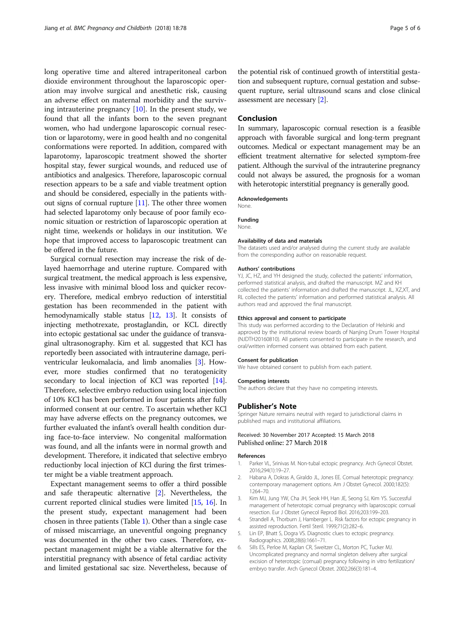<span id="page-4-0"></span>long operative time and altered intraperitoneal carbon dioxide environment throughout the laparoscopic operation may involve surgical and anesthetic risk, causing an adverse effect on maternal morbidity and the surviving intrauterine pregnancy  $[10]$  $[10]$ . In the present study, we found that all the infants born to the seven pregnant women, who had undergone laparoscopic cornual resection or laparotomy, were in good health and no congenital conformations were reported. In addition, compared with laparotomy, laparoscopic treatment showed the shorter hospital stay, fewer surgical wounds, and reduced use of antibiotics and analgesics. Therefore, laparoscopic cornual resection appears to be a safe and viable treatment option and should be considered, especially in the patients without signs of cornual rupture  $[11]$  $[11]$ . The other three women had selected laparotomy only because of poor family economic situation or restriction of laparoscopic operation at night time, weekends or holidays in our institution. We hope that improved access to laparoscopic treatment can be offered in the future.

Surgical cornual resection may increase the risk of delayed haemorrhage and uterine rupture. Compared with surgical treatment, the medical approach is less expensive, less invasive with minimal blood loss and quicker recovery. Therefore, medical embryo reduction of interstitial gestation has been recommended in the patient with hemodynamically stable status [\[12,](#page-5-0) [13\]](#page-5-0). It consists of injecting methotrexate, prostaglandin, or KCL directly into ectopic gestational sac under the guidance of transvaginal ultrasonography. Kim et al. suggested that KCl has reportedly been associated with intrauterine damage, periventricular leukomalacia, and limb anomalies [3]. However, more studies confirmed that no teratogenicity secondary to local injection of KCl was reported [[14](#page-5-0)]. Therefore, selective embryo reduction using local injection of 10% KCl has been performed in four patients after fully informed consent at our centre. To ascertain whether KCl may have adverse effects on the pregnancy outcomes, we further evaluated the infant's overall health condition during face-to-face interview. No congenital malformation was found, and all the infants were in normal growth and development. Therefore, it indicated that selective embryo reductionby local injection of KCl during the first trimester might be a viable treatment approach.

Expectant management seems to offer a third possible and safe therapeutic alternative [2]. Nevertheless, the current reported clinical studies were limited [\[15,](#page-5-0) [16](#page-5-0)]. In the present study, expectant management had been chosen in three patients (Table [1\)](#page-3-0). Other than a single case of missed miscarriage, an uneventful ongoing pregnancy was documented in the other two cases. Therefore, expectant management might be a viable alternative for the interstitial pregnancy with absence of fetal cardiac activity and limited gestational sac size. Nevertheless, because of the potential risk of continued growth of interstitial gestation and subsequent rupture, cornual gestation and subsequent rupture, serial ultrasound scans and close clinical assessment are necessary [2].

#### Conclusion

In summary, laparoscopic cornual resection is a feasible approach with favorable surgical and long-term pregnant outcomes. Medical or expectant management may be an efficient treatment alternative for selected symptom-free patient. Although the survival of the intrauterine pregnancy could not always be assured, the prognosis for a woman with heterotopic interstitial pregnancy is generally good.

#### Acknowledgements

None.

### Funding

None.

#### Availability of data and materials

The datasets used and/or analysed during the current study are available from the corresponding author on reasonable request.

#### Authors' contributions

YJ, JC, HZ, and YH designed the study, collected the patients' information, performed statistical analysis, and drafted the manuscript. MZ and KH collected the patients' information and drafted the manuscript. JL, XZ,XT, and RL collected the patients' information and performed statistical analysis. All authors read and approved the final manuscript.

#### Ethics approval and consent to participate

This study was performed according to the Declaration of Helsinki and approved by the institutional review boards of Nanjing Drum Tower Hospital (NJDTH20160810). All patients consented to participate in the research, and oral/written informed consent was obtained from each patient.

#### Consent for publication

We have obtained consent to publish from each patient.

#### Competing interests

The authors declare that they have no competing interests.

#### Publisher's Note

Springer Nature remains neutral with regard to jurisdictional claims in published maps and institutional affiliations.

## Received: 30 November 2017 Accepted: 15 March 2018

#### References

- 1. Parker VL, Srinivas M. Non-tubal ectopic pregnancy. Arch Gynecol Obstet. 2016;294(1):19–27.
- 2. Habana A, Dokras A, Giraldo JL, Jones EE. Cornual heterotopic pregnancy: contemporary management options. Am J Obstet Gynecol. 2000;182(5): 1264–70.
- 3. Kim MJ, Jung YW, Cha JH, Seok HH, Han JE, Seong SJ, Kim YS. Successful management of heterotopic cornual pregnancy with laparoscopic cornual resection. Eur J Obstet Gynecol Reprod Biol. 2016;203:199–203.
- 4. Strandell A, Thorburn J, Hamberger L. Risk factors for ectopic pregnancy in assisted reproduction. Fertil Steril. 1999;71(2):282–6.
- 5. Lin EP, Bhatt S, Dogra VS. Diagnostic clues to ectopic pregnancy. Radiographics. 2008;28(6):1661–71.
- 6. Sills ES, Perloe M, Kaplan CR, Sweitzer CL, Morton PC, Tucker MJ. Uncomplicated pregnancy and normal singleton delivery after surgical excision of heterotopic (cornual) pregnancy following in vitro fertilization/ embryo transfer. Arch Gynecol Obstet. 2002;266(3):181–4.